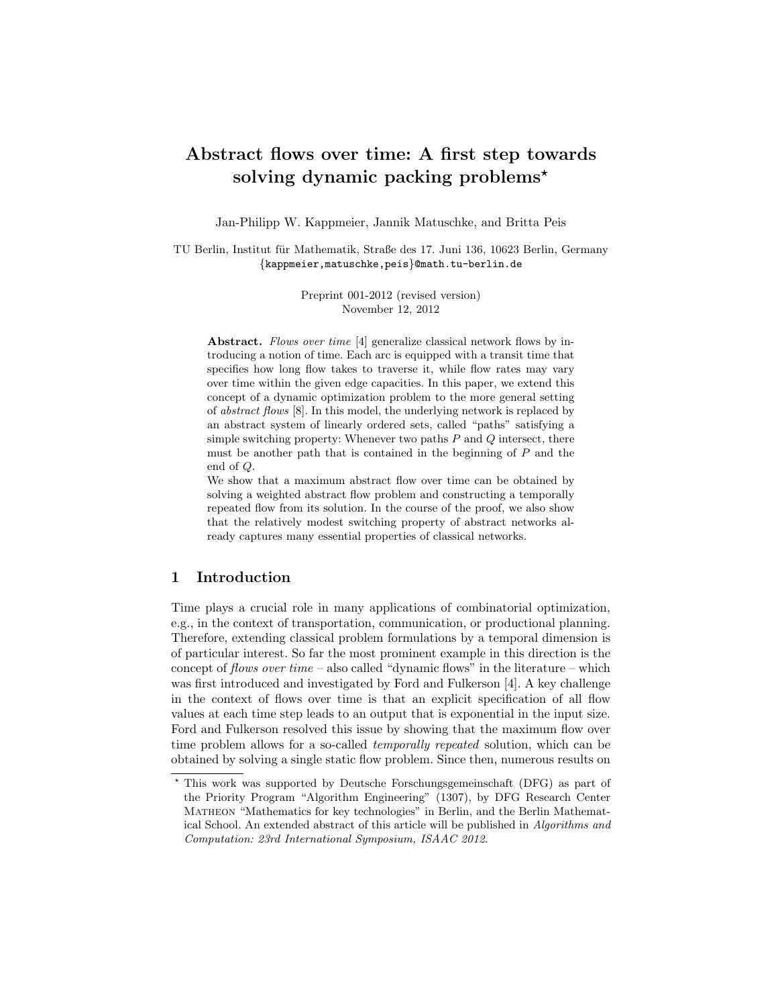# Abstract flows over time: A first step towards solving dynamic packing problems<sup>\*</sup>

Jan-Philipp W. Kappmeier, Jannik Matuschke, and Britta Peis

TU Berlin, Institut für Mathematik, Straße des 17. Juni 136, 10623 Berlin, Germany {kappmeier,matuschke,peis}@math.tu-berlin.de

> Preprint 001-2012 (revised version) November 12, 2012

Abstract. Flows over time [\[4\]](#page-11-0) generalize classical network flows by introducing a notion of time. Each arc is equipped with a transit time that specifies how long flow takes to traverse it, while flow rates may vary over time within the given edge capacities. In this paper, we extend this concept of a dynamic optimization problem to the more general setting of abstract flows [\[8\]](#page-11-1). In this model, the underlying network is replaced by an abstract system of linearly ordered sets, called "paths" satisfying a simple switching property: Whenever two paths  $P$  and  $Q$  intersect, there must be another path that is contained in the beginning of  $P$  and the end of Q.

We show that a maximum abstract flow over time can be obtained by solving a weighted abstract flow problem and constructing a temporally repeated flow from its solution. In the course of the proof, we also show that the relatively modest switching property of abstract networks already captures many essential properties of classical networks.

## 1 Introduction

Time plays a crucial role in many applications of combinatorial optimization, e.g., in the context of transportation, communication, or productional planning. Therefore, extending classical problem formulations by a temporal dimension is of particular interest. So far the most prominent example in this direction is the concept of *flows over time* – also called "dynamic flows" in the literature – which was first introduced and investigated by Ford and Fulkerson [\[4\]](#page-11-0). A key challenge in the context of flows over time is that an explicit specification of all flow values at each time step leads to an output that is exponential in the input size. Ford and Fulkerson resolved this issue by showing that the maximum flow over time problem allows for a so-called temporally repeated solution, which can be obtained by solving a single static flow problem. Since then, numerous results on

<sup>?</sup> This work was supported by Deutsche Forschungsgemeinschaft (DFG) as part of the Priority Program "Algorithm Engineering" (1307), by DFG Research Center Matheon "Mathematics for key technologies" in Berlin, and the Berlin Mathematical School. An extended abstract of this article will be published in Algorithms and Computation: 23rd International Symposium, ISAAC 2012.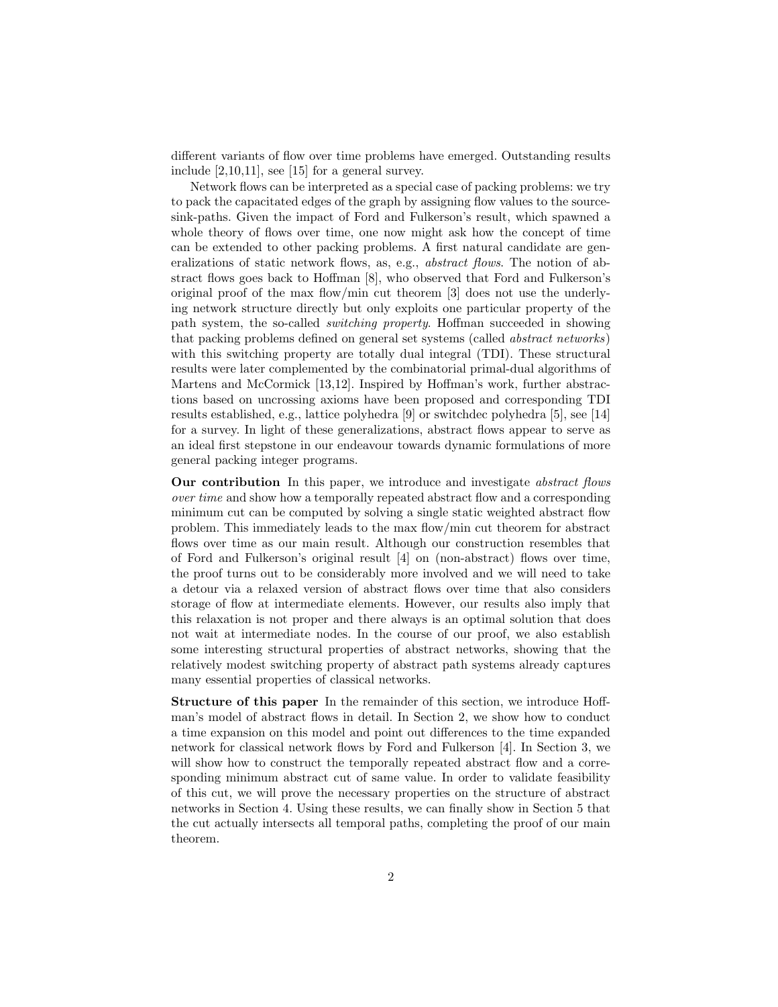different variants of flow over time problems have emerged. Outstanding results include [\[2,](#page-11-2)[10,](#page-11-3)[11\]](#page-11-4), see [\[15\]](#page-11-5) for a general survey.

Network flows can be interpreted as a special case of packing problems: we try to pack the capacitated edges of the graph by assigning flow values to the sourcesink-paths. Given the impact of Ford and Fulkerson's result, which spawned a whole theory of flows over time, one now might ask how the concept of time can be extended to other packing problems. A first natural candidate are generalizations of static network flows, as, e.g., abstract flows. The notion of abstract flows goes back to Hoffman [\[8\]](#page-11-1), who observed that Ford and Fulkerson's original proof of the max flow/min cut theorem [\[3\]](#page-11-6) does not use the underlying network structure directly but only exploits one particular property of the path system, the so-called switching property. Hoffman succeeded in showing that packing problems defined on general set systems (called abstract networks) with this switching property are totally dual integral (TDI). These structural results were later complemented by the combinatorial primal-dual algorithms of Martens and McCormick [\[13,](#page-11-7)[12\]](#page-11-8). Inspired by Hoffman's work, further abstractions based on uncrossing axioms have been proposed and corresponding TDI results established, e.g., lattice polyhedra [\[9\]](#page-11-9) or switchdec polyhedra [\[5\]](#page-11-10), see [\[14\]](#page-11-11) for a survey. In light of these generalizations, abstract flows appear to serve as an ideal first stepstone in our endeavour towards dynamic formulations of more general packing integer programs.

Our contribution In this paper, we introduce and investigate *abstract flows* over time and show how a temporally repeated abstract flow and a corresponding minimum cut can be computed by solving a single static weighted abstract flow problem. This immediately leads to the max flow/min cut theorem for abstract flows over time as our main result. Although our construction resembles that of Ford and Fulkerson's original result [\[4\]](#page-11-0) on (non-abstract) flows over time, the proof turns out to be considerably more involved and we will need to take a detour via a relaxed version of abstract flows over time that also considers storage of flow at intermediate elements. However, our results also imply that this relaxation is not proper and there always is an optimal solution that does not wait at intermediate nodes. In the course of our proof, we also establish some interesting structural properties of abstract networks, showing that the relatively modest switching property of abstract path systems already captures many essential properties of classical networks.

Structure of this paper In the remainder of this section, we introduce Hoffman's model of abstract flows in detail. In [Section 2,](#page-3-0) we show how to conduct a time expansion on this model and point out differences to the time expanded network for classical network flows by Ford and Fulkerson [\[4\]](#page-11-0). In [Section 3,](#page-5-0) we will show how to construct the temporally repeated abstract flow and a corresponding minimum abstract cut of same value. In order to validate feasibility of this cut, we will prove the necessary properties on the structure of abstract networks in [Section 4.](#page-7-0) Using these results, we can finally show in [Section 5](#page-9-0) that the cut actually intersects all temporal paths, completing the proof of our main theorem.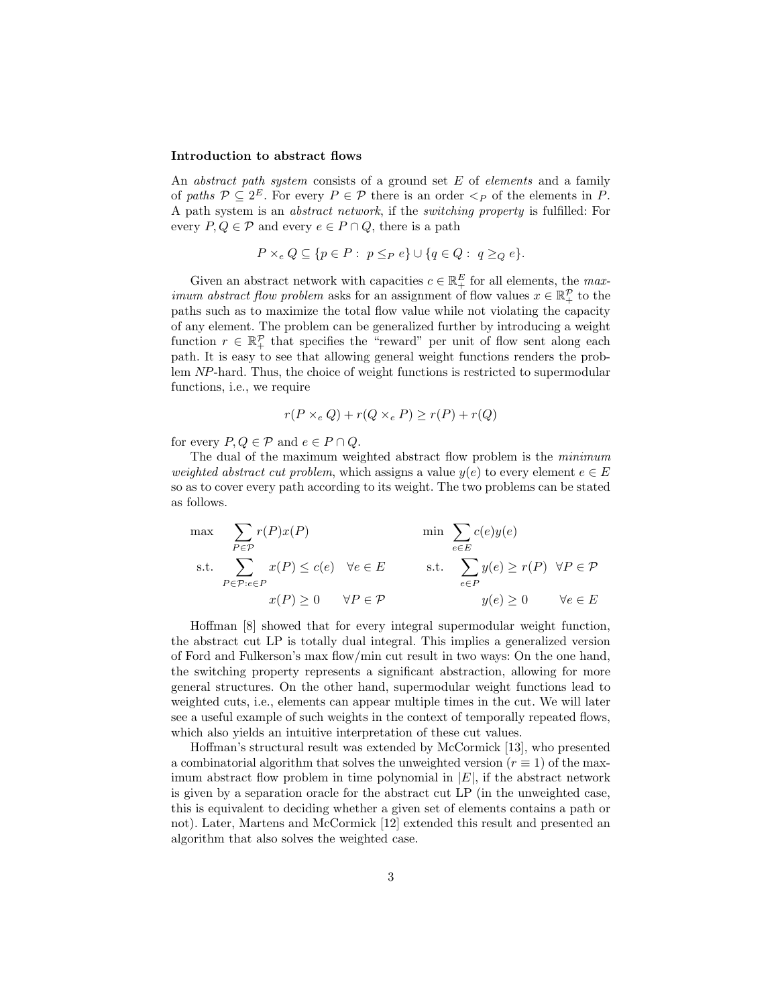#### Introduction to abstract flows

An *abstract path system* consists of a ground set  $E$  of *elements* and a family of paths  $P \subseteq 2^E$ . For every  $P \in \mathcal{P}$  there is an order  $\langle P \rangle$  of the elements in P. A path system is an abstract network, if the switching property is fulfilled: For every  $P, Q \in \mathcal{P}$  and every  $e \in P \cap Q$ , there is a path

$$
P \times_e Q \subseteq \{ p \in P : p \leq_P e \} \cup \{ q \in Q : q \geq_Q e \}.
$$

Given an abstract network with capacities  $c \in \mathbb{R}^E_+$  for all elements, the *maximum abstract flow problem* asks for an assignment of flow values  $x \in \mathbb{R}^p_+$  to the paths such as to maximize the total flow value while not violating the capacity of any element. The problem can be generalized further by introducing a weight function  $r \in \mathbb{R}_+^{\mathcal{P}}$  that specifies the "reward" per unit of flow sent along each path. It is easy to see that allowing general weight functions renders the problem NP-hard. Thus, the choice of weight functions is restricted to supermodular functions, i.e., we require

$$
r(P \times_e Q) + r(Q \times_e P) \ge r(P) + r(Q)
$$

for every  $P, Q \in \mathcal{P}$  and  $e \in P \cap Q$ .

The dual of the maximum weighted abstract flow problem is the *minimum* weighted abstract cut problem, which assigns a value  $y(e)$  to every element  $e \in E$ so as to cover every path according to its weight. The two problems can be stated as follows.

$$
\max \sum_{P \in \mathcal{P}} r(P)x(P) \qquad \min \sum_{e \in E} c(e)y(e)
$$
\n
$$
\text{s.t.} \sum_{P \in \mathcal{P}: e \in P} x(P) \le c(e) \quad \forall e \in E \qquad \text{s.t.} \sum_{e \in P} y(e) \ge r(P) \quad \forall P \in \mathcal{P}
$$
\n
$$
x(P) \ge 0 \qquad \forall P \in \mathcal{P} \qquad y(e) \ge 0 \qquad \forall e \in E
$$

Hoffman [\[8\]](#page-11-1) showed that for every integral supermodular weight function, the abstract cut LP is totally dual integral. This implies a generalized version of Ford and Fulkerson's max flow/min cut result in two ways: On the one hand, the switching property represents a significant abstraction, allowing for more general structures. On the other hand, supermodular weight functions lead to weighted cuts, i.e., elements can appear multiple times in the cut. We will later see a useful example of such weights in the context of temporally repeated flows, which also yields an intuitive interpretation of these cut values.

Hoffman's structural result was extended by McCormick [\[13\]](#page-11-7), who presented a combinatorial algorithm that solves the unweighted version ( $r \equiv 1$ ) of the maximum abstract flow problem in time polynomial in  $|E|$ , if the abstract network is given by a separation oracle for the abstract cut LP (in the unweighted case, this is equivalent to deciding whether a given set of elements contains a path or not). Later, Martens and McCormick [\[12\]](#page-11-8) extended this result and presented an algorithm that also solves the weighted case.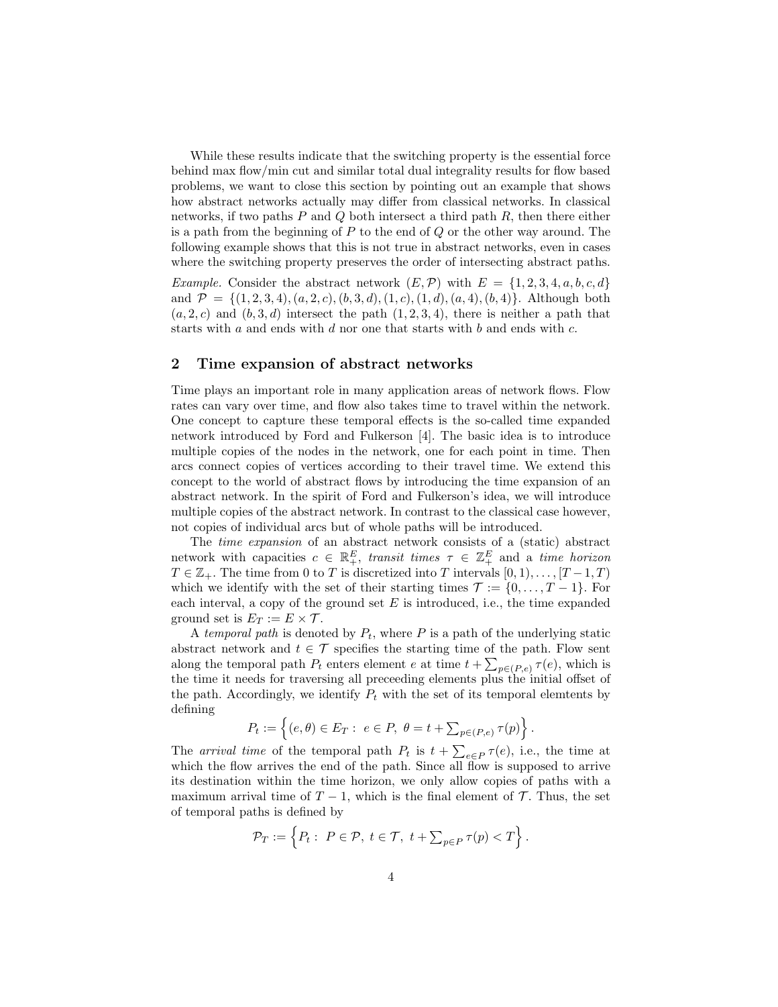While these results indicate that the switching property is the essential force behind max flow/min cut and similar total dual integrality results for flow based problems, we want to close this section by pointing out an example that shows how abstract networks actually may differ from classical networks. In classical networks, if two paths  $P$  and  $Q$  both intersect a third path  $R$ , then there either is a path from the beginning of  $P$  to the end of  $Q$  or the other way around. The following example shows that this is not true in abstract networks, even in cases where the switching property preserves the order of intersecting abstract paths.

*Example.* Consider the abstract network  $(E, \mathcal{P})$  with  $E = \{1, 2, 3, 4, a, b, c, d\}$ and  $\mathcal{P} = \{(1, 2, 3, 4), (a, 2, c), (b, 3, d), (1, c), (1, d), (a, 4), (b, 4)\}\$ . Although both  $(a, 2, c)$  and  $(b, 3, d)$  intersect the path  $(1, 2, 3, 4)$ , there is neither a path that starts with  $a$  and ends with  $d$  nor one that starts with  $b$  and ends with  $c$ .

# <span id="page-3-0"></span>2 Time expansion of abstract networks

Time plays an important role in many application areas of network flows. Flow rates can vary over time, and flow also takes time to travel within the network. One concept to capture these temporal effects is the so-called time expanded network introduced by Ford and Fulkerson [\[4\]](#page-11-0). The basic idea is to introduce multiple copies of the nodes in the network, one for each point in time. Then arcs connect copies of vertices according to their travel time. We extend this concept to the world of abstract flows by introducing the time expansion of an abstract network. In the spirit of Ford and Fulkerson's idea, we will introduce multiple copies of the abstract network. In contrast to the classical case however, not copies of individual arcs but of whole paths will be introduced.

The time expansion of an abstract network consists of a (static) abstract network with capacities  $c \in \mathbb{R}^E_+$ , transit times  $\tau \in \mathbb{Z}^E_+$  and a time horizon  $T \in \mathbb{Z}_+$ . The time from 0 to T is discretized into T intervals  $[0, 1), \ldots, [T-1, T]$ which we identify with the set of their starting times  $\mathcal{T} := \{0, \ldots, T-1\}$ . For each interval, a copy of the ground set  $E$  is introduced, i.e., the time expanded ground set is  $E_T := E \times \mathcal{T}$ .

A temporal path is denoted by  $P_t$ , where P is a path of the underlying static abstract network and  $t \in \mathcal{T}$  specifies the starting time of the path. Flow sent along the temporal path  $P_t$  enters element e at time  $t + \sum_{p \in (P,e)} \tau(e)$ , which is the time it needs for traversing all preceeding elements plus the initial offset of the path. Accordingly, we identify  $P_t$  with the set of its temporal elemtents by defining

$$
P_t := \left\{ (e, \theta) \in E_T : e \in P, \ \theta = t + \sum_{p \in (P, e)} \tau(p) \right\}.
$$

The arrival time of the temporal path  $P_t$  is  $t + \sum_{e \in P} \tau(e)$ , i.e., the time at which the flow arrives the end of the path. Since all flow is supposed to arrive its destination within the time horizon, we only allow copies of paths with a maximum arrival time of  $T-1$ , which is the final element of  $\mathcal T$ . Thus, the set of temporal paths is defined by

$$
\mathcal{P}_T := \left\{ P_t: \ P \in \mathcal{P}, \ t \in \mathcal{T}, \ t + \sum_{p \in P} \tau(p) < T \right\}.
$$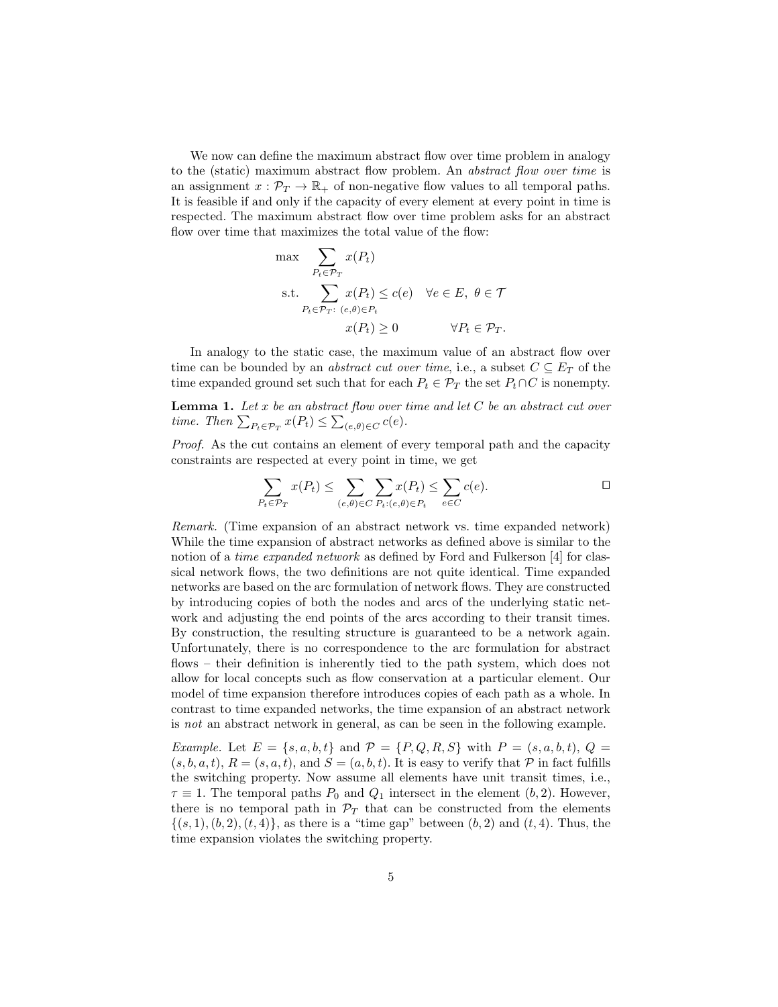We now can define the maximum abstract flow over time problem in analogy to the (static) maximum abstract flow problem. An abstract flow over time is an assignment  $x : \mathcal{P}_T \to \mathbb{R}_+$  of non-negative flow values to all temporal paths. It is feasible if and only if the capacity of every element at every point in time is respected. The maximum abstract flow over time problem asks for an abstract flow over time that maximizes the total value of the flow:

$$
\max \sum_{P_t \in \mathcal{P}_T} x(P_t)
$$
\n
$$
\text{s.t.} \sum_{P_t \in \mathcal{P}_T \colon (e,\theta) \in P_t} x(P_t) \le c(e) \quad \forall e \in E, \ \theta \in \mathcal{T}
$$
\n
$$
x(P_t) \ge 0 \qquad \forall P_t \in \mathcal{P}_T.
$$

In analogy to the static case, the maximum value of an abstract flow over time can be bounded by an *abstract cut over time*, i.e., a subset  $C \subseteq E_T$  of the time expanded ground set such that for each  $P_t \in \mathcal{P}_T$  the set  $P_t \cap C$  is nonempty.

**Lemma 1.** Let  $x$  be an abstract flow over time and let  $C$  be an abstract cut over time. Then  $\sum_{P_t \in \mathcal{P}_T} x(P_t) \leq \sum_{(e,\theta) \in C} c(e)$ .

Proof. As the cut contains an element of every temporal path and the capacity constraints are respected at every point in time, we get

$$
\sum_{P_t \in \mathcal{P}_T} x(P_t) \le \sum_{(e,\theta) \in C} \sum_{P_t: (e,\theta) \in P_t} x(P_t) \le \sum_{e \in C} c(e).
$$

Remark. (Time expansion of an abstract network vs. time expanded network) While the time expansion of abstract networks as defined above is similar to the notion of a *time expanded network* as defined by Ford and Fulkerson [\[4\]](#page-11-0) for classical network flows, the two definitions are not quite identical. Time expanded networks are based on the arc formulation of network flows. They are constructed by introducing copies of both the nodes and arcs of the underlying static network and adjusting the end points of the arcs according to their transit times. By construction, the resulting structure is guaranteed to be a network again. Unfortunately, there is no correspondence to the arc formulation for abstract flows – their definition is inherently tied to the path system, which does not allow for local concepts such as flow conservation at a particular element. Our model of time expansion therefore introduces copies of each path as a whole. In contrast to time expanded networks, the time expansion of an abstract network is not an abstract network in general, as can be seen in the following example.

Example. Let  $E = \{s, a, b, t\}$  and  $\mathcal{P} = \{P, Q, R, S\}$  with  $P = (s, a, b, t), Q =$  $(s, b, a, t), R = (s, a, t),$  and  $S = (a, b, t)$ . It is easy to verify that P in fact fulfills the switching property. Now assume all elements have unit transit times, i.e.,  $\tau \equiv 1$ . The temporal paths  $P_0$  and  $Q_1$  intersect in the element  $(b, 2)$ . However, there is no temporal path in  $\mathcal{P}_T$  that can be constructed from the elements  $\{(s, 1), (b, 2), (t, 4)\}\$ , as there is a "time gap" between  $(b, 2)$  and  $(t, 4)$ . Thus, the time expansion violates the switching property.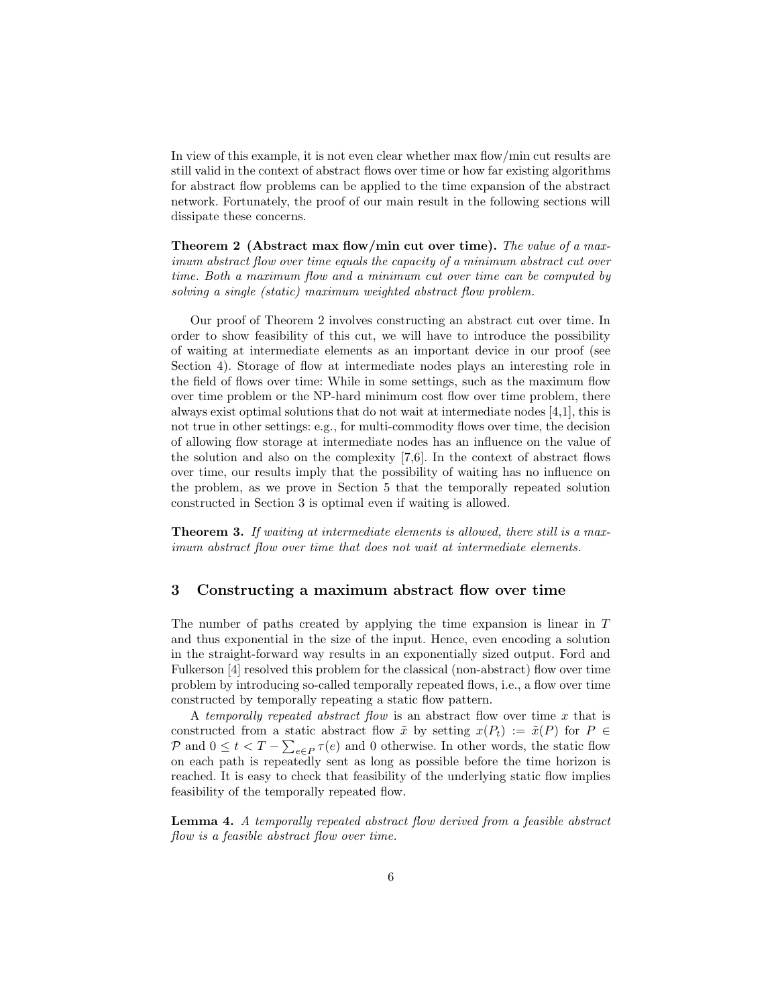In view of this example, it is not even clear whether max flow/min cut results are still valid in the context of abstract flows over time or how far existing algorithms for abstract flow problems can be applied to the time expansion of the abstract network. Fortunately, the proof of our main result in the following sections will dissipate these concerns.

<span id="page-5-1"></span>Theorem 2 (Abstract max flow/min cut over time). The value of a maximum abstract flow over time equals the capacity of a minimum abstract cut over time. Both a maximum flow and a minimum cut over time can be computed by solving a single (static) maximum weighted abstract flow problem.

Our proof of [Theorem 2](#page-5-1) involves constructing an abstract cut over time. In order to show feasibility of this cut, we will have to introduce the possibility of waiting at intermediate elements as an important device in our proof (see [Section 4\)](#page-7-0). Storage of flow at intermediate nodes plays an interesting role in the field of flows over time: While in some settings, such as the maximum flow over time problem or the NP-hard minimum cost flow over time problem, there always exist optimal solutions that do not wait at intermediate nodes [\[4,](#page-11-0)[1\]](#page-11-12), this is not true in other settings: e.g., for multi-commodity flows over time, the decision of allowing flow storage at intermediate nodes has an influence on the value of the solution and also on the complexity [\[7,](#page-11-13)[6\]](#page-11-14). In the context of abstract flows over time, our results imply that the possibility of waiting has no influence on the problem, as we prove in [Section 5](#page-9-0) that the temporally repeated solution constructed in [Section 3](#page-5-0) is optimal even if waiting is allowed.

Theorem 3. If waiting at intermediate elements is allowed, there still is a maximum abstract flow over time that does not wait at intermediate elements.

### <span id="page-5-0"></span>3 Constructing a maximum abstract flow over time

The number of paths created by applying the time expansion is linear in T and thus exponential in the size of the input. Hence, even encoding a solution in the straight-forward way results in an exponentially sized output. Ford and Fulkerson [\[4\]](#page-11-0) resolved this problem for the classical (non-abstract) flow over time problem by introducing so-called temporally repeated flows, i.e., a flow over time constructed by temporally repeating a static flow pattern.

A temporally repeated abstract flow is an abstract flow over time x that is constructed from a static abstract flow  $\tilde{x}$  by setting  $x(P_t) := \tilde{x}(P)$  for  $P \in$ P and  $0 \leq t < T - \sum_{e \in P} \tau(e)$  and 0 otherwise. In other words, the static flow on each path is repeatedly sent as long as possible before the time horizon is reached. It is easy to check that feasibility of the underlying static flow implies feasibility of the temporally repeated flow.

Lemma 4. A temporally repeated abstract flow derived from a feasible abstract flow is a feasible abstract flow over time.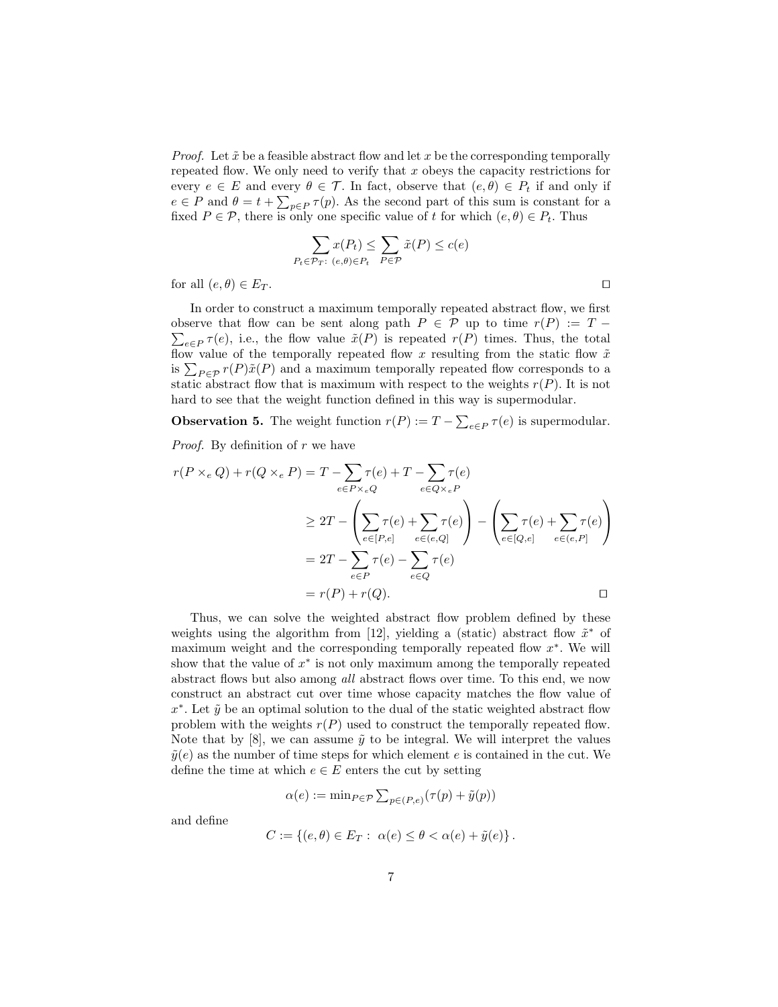*Proof.* Let  $\tilde{x}$  be a feasible abstract flow and let x be the corresponding temporally repeated flow. We only need to verify that  $x$  obeys the capacity restrictions for every  $e \in E$  and every  $\theta \in \mathcal{T}$ . In fact, observe that  $(e, \theta) \in P_t$  if and only if  $e \in P$  and  $\theta = t + \sum_{p \in P} \tau(p)$ . As the second part of this sum is constant for a fixed  $P \in \mathcal{P}$ , there is only one specific value of t for which  $(e, \theta) \in P_t$ . Thus

$$
\sum_{P_t \in \mathcal{P}_T: (e,\theta) \in P_t} x(P_t) \le \sum_{P \in \mathcal{P}} \tilde{x}(P) \le c(e)
$$

for all  $(e, \theta) \in E_T$ .

In order to construct a maximum temporally repeated abstract flow, we first observe that flow can be sent along path  $P \in \mathcal{P}$  up to time  $r(P) := T \sum_{e \in P} \tau(e)$ , i.e., the flow value  $\tilde{x}(P)$  is repeated  $r(P)$  times. Thus, the total flow value of the temporally repeated flow x resulting from the static flow  $\tilde{x}$ is  $\sum_{P \in \mathcal{P}} r(P)\tilde{x}(P)$  and a maximum temporally repeated flow corresponds to a static abstract flow that is maximum with respect to the weights  $r(P)$ . It is not hard to see that the weight function defined in this way is supermodular.

**Observation 5.** The weight function  $r(P) := T - \sum_{e \in P} \tau(e)$  is supermodular.

*Proof.* By definition of  $r$  we have

$$
r(P \times_e Q) + r(Q \times_e P) = T - \sum_{e \in P \times_e Q} \tau(e) + T - \sum_{e \in Q \times_e P} \tau(e)
$$
  
\n
$$
\geq 2T - \left(\sum_{e \in [P,e]} \tau(e) + \sum_{e \in (e,Q]} \tau(e)\right) - \left(\sum_{e \in [Q,e]} \tau(e) + \sum_{e \in (e,P]} \tau(e)\right)
$$
  
\n
$$
= 2T - \sum_{e \in P} \tau(e) - \sum_{e \in Q} \tau(e)
$$
  
\n
$$
= r(P) + r(Q).
$$

Thus, we can solve the weighted abstract flow problem defined by these weights using the algorithm from [\[12\]](#page-11-8), yielding a (static) abstract flow  $\tilde{x}^*$  of maximum weight and the corresponding temporally repeated flow  $x^*$ . We will show that the value of  $x^*$  is not only maximum among the temporally repeated abstract flows but also among all abstract flows over time. To this end, we now construct an abstract cut over time whose capacity matches the flow value of  $x^*$ . Let  $\tilde{y}$  be an optimal solution to the dual of the static weighted abstract flow problem with the weights  $r(P)$  used to construct the temporally repeated flow. Note that by [\[8\]](#page-11-1), we can assume  $\tilde{y}$  to be integral. We will interpret the values  $\tilde{y}(e)$  as the number of time steps for which element e is contained in the cut. We define the time at which  $e \in E$  enters the cut by setting

$$
\alpha(e) := \min_{P \in \mathcal{P}} \sum_{p \in (P,e)} (\tau(p) + \tilde{y}(p))
$$

<span id="page-6-0"></span>and define

$$
C := \{(e, \theta) \in E_T : \ \alpha(e) \leq \theta < \alpha(e) + \tilde{y}(e)\}.
$$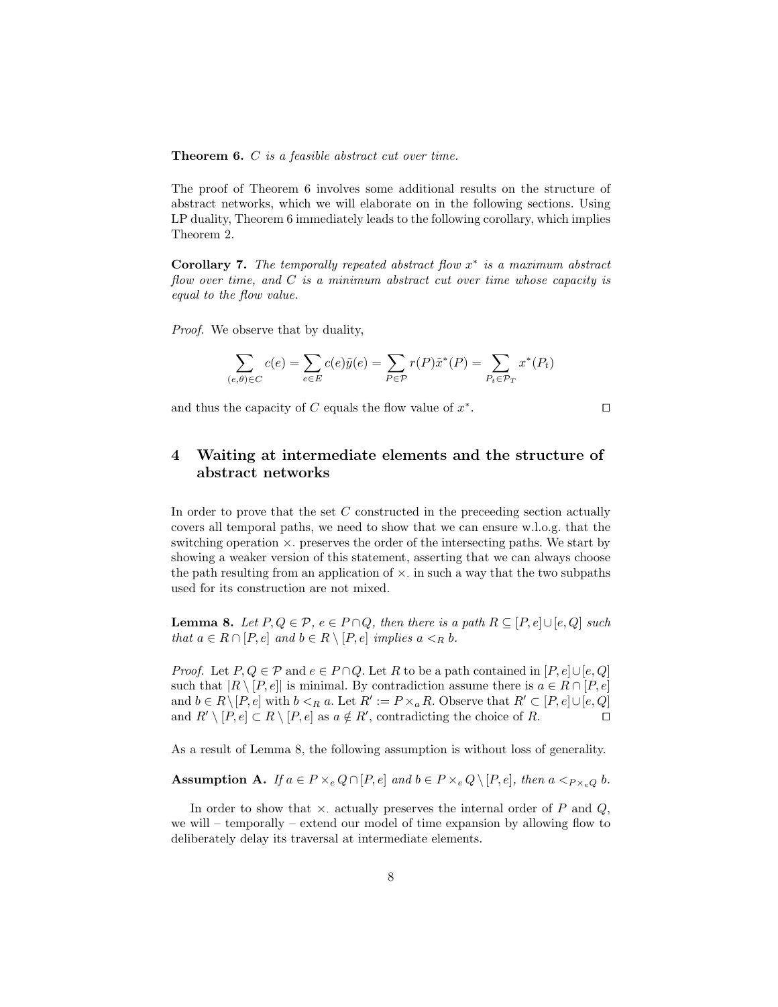Theorem 6. C is a feasible abstract cut over time.

The proof of [Theorem 6](#page-6-0) involves some additional results on the structure of abstract networks, which we will elaborate on in the following sections. Using LP duality, [Theorem 6](#page-6-0) immediately leads to the following corollary, which implies [Theorem 2.](#page-5-1)

Corollary 7. The temporally repeated abstract flow  $x^*$  is a maximum abstract flow over time, and  $C$  is a minimum abstract cut over time whose capacity is equal to the flow value.

Proof. We observe that by duality,

$$
\sum_{(e,\theta)\in C} c(e) = \sum_{e\in E} c(e)\tilde{y}(e) = \sum_{P\in \mathcal{P}} r(P)\tilde{x}^*(P) = \sum_{P_t\in \mathcal{P}_T} x^*(P_t)
$$

and thus the capacity of  $C$  equals the flow value of  $x^*$ 

<span id="page-7-2"></span>
$$
\qquad \qquad \Box
$$

# <span id="page-7-0"></span>4 Waiting at intermediate elements and the structure of abstract networks

In order to prove that the set  $C$  constructed in the preceeding section actually covers all temporal paths, we need to show that we can ensure w.l.o.g. that the switching operation  $\times$  preserves the order of the intersecting paths. We start by showing a weaker version of this statement, asserting that we can always choose the path resulting from an application of  $\times$ . in such a way that the two subpaths used for its construction are not mixed.

<span id="page-7-1"></span>**Lemma 8.** Let  $P, Q \in \mathcal{P}, e \in P \cap Q$ , then there is a path  $R \subseteq [P, e] \cup [e, Q]$  such that  $a \in R \cap [P, e]$  and  $b \in R \setminus [P, e]$  implies  $a <_R b$ .

*Proof.* Let  $P, Q \in \mathcal{P}$  and  $e \in P \cap Q$ . Let R to be a path contained in  $[P, e] \cup [e, Q]$ such that  $|R \setminus [P, e]|$  is minimal. By contradiction assume there is  $a \in R \cap [P, e]$ and  $b \in R \setminus [P, e]$  with  $b <_R a$ . Let  $R' := P \times_a R$ . Observe that  $R' \subset [P, e] \cup [e, Q]$ and  $R' \setminus [P, e] \subset R \setminus [P, e]$  as  $a \notin R'$ , contradicting the choice of R.

As a result of [Lemma 8,](#page-7-1) the following assumption is without loss of generality.

**Assumption A.** If  $a \in P \times_e Q \cap [P, e]$  and  $b \in P \times_e Q \setminus [P, e]$ , then  $a <_{P \times_e Q} b$ .

In order to show that  $\times$  actually preserves the internal order of P and Q, we will – temporally – extend our model of time expansion by allowing flow to deliberately delay its traversal at intermediate elements.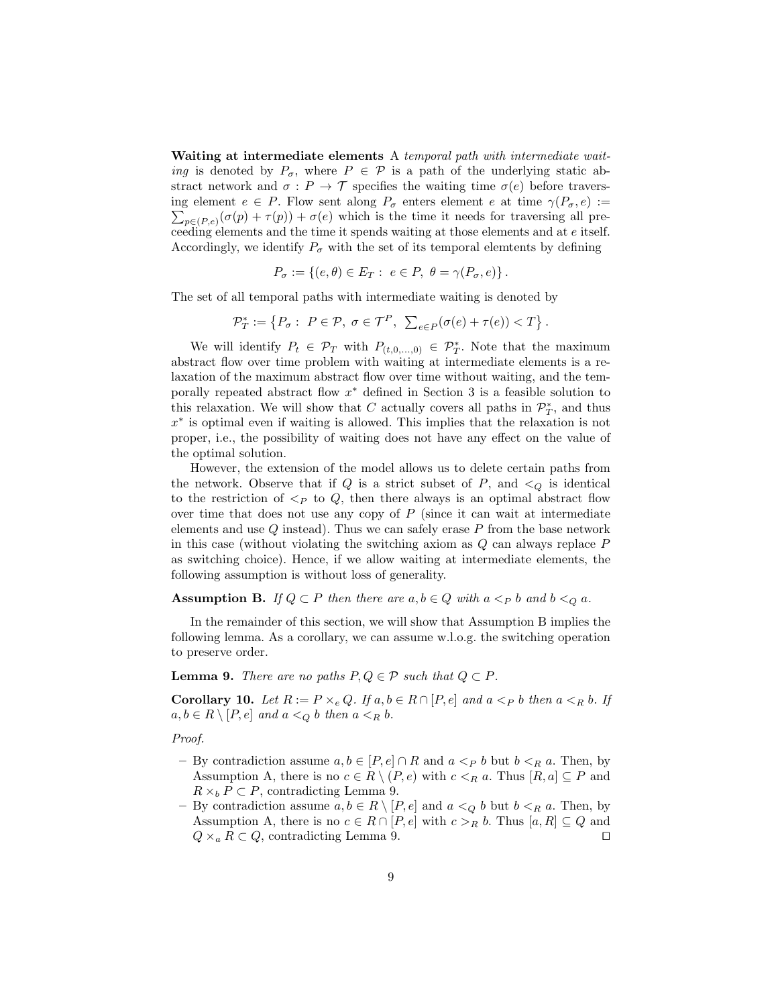Waiting at intermediate elements A temporal path with intermediate waiting is denoted by  $P_{\sigma}$ , where  $P \in \mathcal{P}$  is a path of the underlying static abstract network and  $\sigma : P \to \mathcal{T}$  specifies the waiting time  $\sigma(e)$  before travers- $\sum_{p\in (P,e)} (\sigma(p) + \tau(p)) + \sigma(e)$  which is the time it needs for traversing all preing element  $e \in P$ . Flow sent along  $P_{\sigma}$  enters element e at time  $\gamma(P_{\sigma}, e)$  := ceeding elements and the time it spends waiting at those elements and at e itself. Accordingly, we identify  $P_{\sigma}$  with the set of its temporal elemtents by defining

$$
P_{\sigma} := \{(e, \theta) \in E_T : e \in P, \ \theta = \gamma(P_{\sigma}, e)\}.
$$

The set of all temporal paths with intermediate waiting is denoted by

$$
\mathcal{P}_T^* := \left\{ P_{\sigma} : P \in \mathcal{P}, \ \sigma \in \mathcal{T}^P, \ \sum_{e \in P} (\sigma(e) + \tau(e)) < T \right\}.
$$

We will identify  $P_t \in \mathcal{P}_T$  with  $P_{(t,0,\ldots,0)} \in \mathcal{P}_T^*$ . Note that the maximum abstract flow over time problem with waiting at intermediate elements is a relaxation of the maximum abstract flow over time without waiting, and the temporally repeated abstract flow  $x^*$  defined in [Section 3](#page-5-0) is a feasible solution to this relaxation. We will show that C actually covers all paths in  $\mathcal{P}_T^*$ , and thus x ∗ is optimal even if waiting is allowed. This implies that the relaxation is not proper, i.e., the possibility of waiting does not have any effect on the value of the optimal solution.

However, the extension of the model allows us to delete certain paths from the network. Observe that if Q is a strict subset of P, and  $\leq_Q$  is identical to the restriction of  $\leq_P$  to Q, then there always is an optimal abstract flow over time that does not use any copy of  $P$  (since it can wait at intermediate elements and use  $Q$  instead). Thus we can safely erase  $P$  from the base network in this case (without violating the switching axiom as  $Q$  can always replace  $P$ as switching choice). Hence, if we allow waiting at intermediate elements, the following assumption is without loss of generality.

<span id="page-8-0"></span>**Assumption B.** If  $Q \subset P$  then there are  $a, b \in Q$  with  $a <_P b$  and  $b <_Q a$ .

In the remainder of this section, we will show that [Assumption B](#page-8-0) implies the following lemma. As a corollary, we can assume w.l.o.g. the switching operation to preserve order.

<span id="page-8-1"></span>**Lemma 9.** There are no paths  $P, Q \in \mathcal{P}$  such that  $Q \subset P$ .

Corollary 10. Let  $R := P \times_e Q$ . If  $a, b \in R \cap [P, e]$  and  $a <_P b$  then  $a <_R b$ . If  $a, b \in R \setminus [P, e]$  and  $a <_Q b$  then  $a <_R b$ .

Proof.

- By contradiction assume  $a, b \in [P, e] \cap R$  and  $a <_P b$  but  $b <_R a$ . Then, by [Assumption A,](#page-7-2) there is no  $c \in R \setminus (P, e)$  with  $c <_{R} a$ . Thus  $[R, a] \subseteq P$  and  $R \times_b P \subset P$ , contradicting [Lemma 9.](#page-8-1)
- By contradiction assume  $a, b \in R \setminus [P, e]$  and  $a <_Q b$  but  $b <_R a$ . Then, by [Assumption A,](#page-7-2) there is no  $c \in R \cap [P, e]$  with  $c >_R b$ . Thus  $[a, R] \subseteq Q$  and  $Q \times_a R \subset Q$ , contradicting [Lemma 9.](#page-8-1)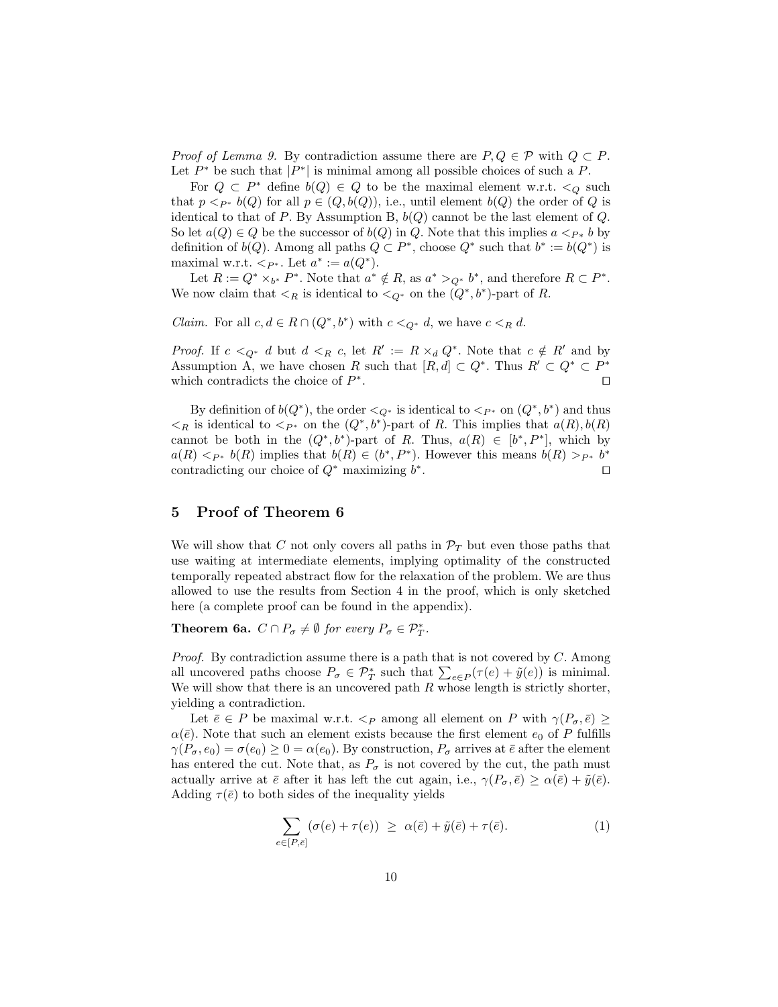*Proof of [Lemma 9.](#page-8-1)* By contradiction assume there are  $P, Q \in \mathcal{P}$  with  $Q \subset P$ . Let  $P^*$  be such that  $|P^*|$  is minimal among all possible choices of such a P.

For  $Q \subset P^*$  define  $b(Q) \in Q$  to be the maximal element w.r.t.  $\langle Q \rangle$  such that  $p <_{P^*} b(Q)$  for all  $p \in (Q, b(Q))$ , i.e., until element  $b(Q)$  the order of Q is identical to that of P. By [Assumption B,](#page-8-0)  $b(Q)$  cannot be the last element of Q. So let  $a(Q) \in Q$  be the successor of  $b(Q)$  in Q. Note that this implies  $a <_{P*} b$  by definition of  $b(Q)$ . Among all paths  $Q \subset P^*$ , choose  $Q^*$  such that  $b^* := b(Q^*)$  is maximal w.r.t.  $\langle P^* \rangle$ . Let  $a^* := a(Q^*).$ 

Let  $R := Q^* \times_{b^*} P^*$ . Note that  $a^* \notin R$ , as  $a^* >_{Q^*} b^*$ , and therefore  $R \subset P^*$ . We now claim that  $\lt_R$  is identical to  $\lt_{Q^*}$  on the  $(Q^*, b^*)$ -part of R.

*Claim.* For all  $c, d \in R \cap (Q^*, b^*)$  with  $c <_{Q^*} d$ , we have  $c <_R d$ .

*Proof.* If  $c <_{Q^*} d$  but  $d <_{R} c$ , let  $R' := R \times_d Q^*$ . Note that  $c \notin R'$  and by [Assumption A,](#page-7-2) we have chosen R such that  $[R, d] \subset Q^*$ . Thus  $R' \subset Q^* \subset P^*$ which contradicts the choice of  $P^*$ . The contract of the contract of the contract of the contract of the contract of the contract of the contract of the contract of the contract of the contract of the contract of the contract of the contract of the contract

By definition of  $b(Q^*)$ , the order  $\langle Q^*, b^* \rangle$  and  $(Q^*, b^*)$  and thus  $\lt_R$  is identical to  $\lt_{P^*}$  on the  $(Q^*, b^*)$ -part of R. This implies that  $a(R), b(R)$ cannot be both in the  $(Q^*, b^*)$ -part of R. Thus,  $a(R) \in [b^*, P^*]$ , which by  $a(R) <_{P^*} b(R)$  implies that  $b(R) \in (b^*, P^*)$ . However this means  $b(R) >_{P^*} b^*$ contradicting our choice of  $Q^*$  maximizing  $b^*$ . The contract of  $\Box$ 

### <span id="page-9-0"></span>5 Proof of [Theorem 6](#page-6-0)

We will show that C not only covers all paths in  $\mathcal{P}_T$  but even those paths that use waiting at intermediate elements, implying optimality of the constructed temporally repeated abstract flow for the relaxation of the problem. We are thus allowed to use the results from [Section 4](#page-7-0) in the proof, which is only sketched here (a complete proof can be found in the appendix).

**[Theorem 6a](#page-6-0).**  $C \cap P_{\sigma} \neq \emptyset$  for every  $P_{\sigma} \in \mathcal{P}_{T}^{*}$ .

*Proof.* By contradiction assume there is a path that is not covered by  $C$ . Among all uncovered paths choose  $P_{\sigma} \in \mathcal{P}^*_{T}$  such that  $\sum_{e \in P} (\tau(e) + \tilde{y}(e))$  is minimal. We will show that there is an uncovered path  $R$  whose length is strictly shorter, yielding a contradiction.

Let  $\bar{e} \in P$  be maximal w.r.t.  $\langle P \rangle$  among all element on P with  $\gamma(P_{\sigma}, \bar{e}) \geq$  $\alpha(\bar{e})$ . Note that such an element exists because the first element  $e_0$  of P fulfills  $\gamma(P_{\sigma}, e_0) = \sigma(e_0) \geq 0 = \alpha(e_0)$ . By construction,  $P_{\sigma}$  arrives at  $\bar{e}$  after the element has entered the cut. Note that, as  $P_{\sigma}$  is not covered by the cut, the path must actually arrive at  $\bar{e}$  after it has left the cut again, i.e.,  $\gamma(P_{\sigma}, \bar{e}) \geq \alpha(\bar{e}) + \tilde{y}(\bar{e})$ . Adding  $\tau(\bar{e})$  to both sides of the inequality yields

<span id="page-9-1"></span>
$$
\sum_{e \in [P,\bar{e}]} (\sigma(e) + \tau(e)) \geq \alpha(\bar{e}) + \tilde{y}(\bar{e}) + \tau(\bar{e}). \tag{1}
$$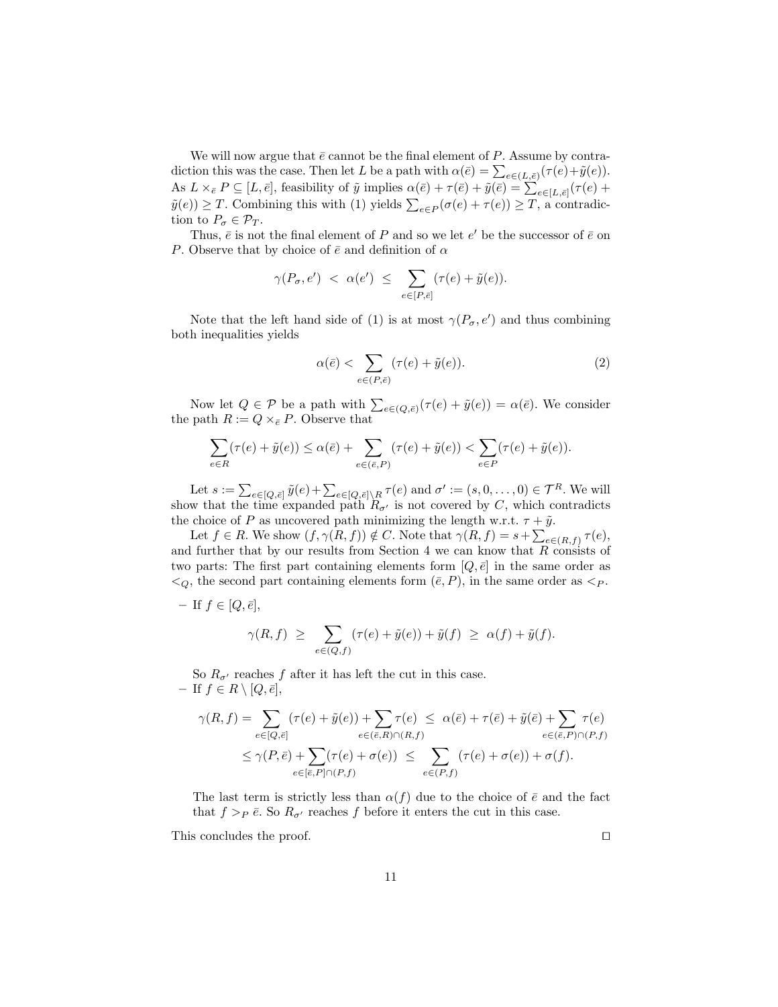We will now argue that  $\bar{e}$  cannot be the final element of P. Assume by contradiction this was the case. Then let L be a path with  $\alpha(\bar{e}) = \sum_{e \in (L,\bar{e})} (\tau(e) + \tilde{y}(e)).$ As  $L \times_{\bar{e}} P \subseteq [L, \bar{e}]$ , feasibility of  $\tilde{y}$  implies  $\alpha(\bar{e}) + \tau(\bar{e}) + \tilde{y}(\bar{e}) = \sum_{e \in [L, \bar{e}]} (\tau(e) +$  $\tilde{y}(e)$ )  $\geq T$ . Combining this with [\(1\)](#page-9-1) yields  $\sum_{e \in P} (\sigma(e) + \tau(e)) \geq T$ , a contradiction to  $P_{\sigma} \in \mathcal{P}_T$ .

Thus,  $\bar{e}$  is not the final element of P and so we let  $e'$  be the successor of  $\bar{e}$  on P. Observe that by choice of  $\bar{e}$  and definition of  $\alpha$ 

$$
\gamma(P_{\sigma},e') \ < \ \alpha(e') \ \leq \ \sum_{e \in [P,\bar{e}]} (\tau(e) + \tilde{y}(e)).
$$

Note that the left hand side of [\(1\)](#page-9-1) is at most  $\gamma(P_{\sigma}, e')$  and thus combining both inequalities yields

$$
\alpha(\bar{e}) < \sum_{e \in (P, \bar{e})} (\tau(e) + \tilde{y}(e)).\tag{2}
$$

Now let  $Q \in \mathcal{P}$  be a path with  $\sum_{e \in (Q,\bar{e})} (\tau(e) + \tilde{y}(e)) = \alpha(\bar{e})$ . We consider the path  $R := Q \times_{\overline{e}} P$ . Observe that

$$
\sum_{e\in R} (\tau(e)+\tilde y(e))\leq \alpha(\bar e)+\sum_{e\in (\bar e,P)} (\tau(e)+\tilde y(e))<\sum_{e\in P} (\tau(e)+\tilde y(e)).
$$

Let  $s := \sum_{e \in [Q,\bar{e}]} \tilde{y}(e) + \sum_{e \in [Q,\bar{e}]\setminus R} \tau(e)$  and  $\sigma' := (s,0,\ldots,0) \in \mathcal{T}^R$ . We will show that the time expanded path  $R_{\sigma}$  is not covered by C, which contradicts the choice of P as uncovered path minimizing the length w.r.t.  $\tau + \tilde{y}$ .

Let  $f \in R$ . We show  $(f, \gamma(R, f)) \notin C$ . Note that  $\gamma(R, f) = s + \sum_{e \in (R, f)} \tau(e)$ , and further that by our results from [Section 4](#page-7-0) we can know that  $R$  consists of two parts: The first part containing elements form  $[Q, \bar{e}]$  in the same order as  $\langle Q, \rangle$ , the second part containing elements form  $(\bar{e}, P)$ , in the same order as  $\langle P \rangle$ .

$$
- \text{ If } f \in [Q, \bar{e}]
$$

$$
\gamma(R, f) \geq \sum_{e \in (Q, f)} (\tau(e) + \tilde{y}(e)) + \tilde{y}(f) \geq \alpha(f) + \tilde{y}(f).
$$

So  $R_{\sigma'}$  reaches f after it has left the cut in this case.  $-$  If  $f \in R \setminus [Q, \bar{e}],$ 

$$
\gamma(R, f) = \sum_{e \in [Q, \bar{e}]} (\tau(e) + \tilde{y}(e)) + \sum_{e \in (\bar{e}, R) \cap (R, f)} \tau(e) \leq \alpha(\bar{e}) + \tau(\bar{e}) + \tilde{y}(\bar{e}) + \sum_{e \in (\bar{e}, P) \cap (P, f)} \tau(e)
$$
  

$$
\leq \gamma(P, \bar{e}) + \sum_{e \in [\bar{e}, P] \cap (P, f)} (\tau(e) + \sigma(e)) \leq \sum_{e \in (P, f)} (\tau(e) + \sigma(e)) + \sigma(f).
$$

The last term is strictly less than  $\alpha(f)$  due to the choice of  $\bar{e}$  and the fact that  $f >_P \bar{e}$ . So  $R_{\sigma'}$  reaches f before it enters the cut in this case.

This concludes the proof.  $\Box$